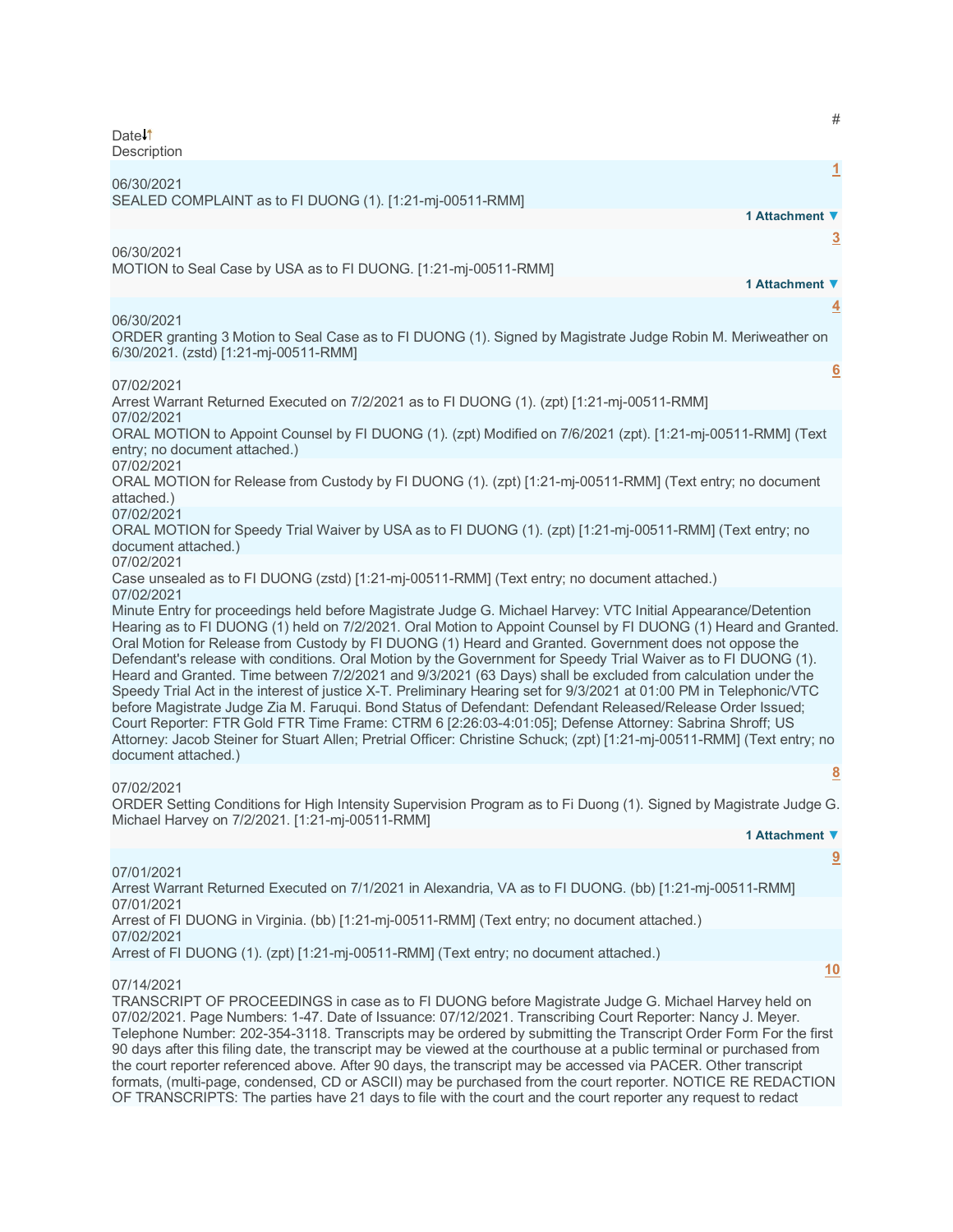Date<sup>1</sup> **Description** 

**[1](javascript:void(0))** 06/30/2021 SEALED COMPLAINT as to FI DUONG (1). [1:21-mj-00511-RMM] **1 Attachment ▼ [3](javascript:void(0))** 06/30/2021 MOTION to Seal Case by USA as to FI DUONG. [1:21-mj-00511-RMM] **1 Attachment ▼ [4](javascript:void(0))** 06/30/2021 ORDER granting 3 Motion to Seal Case as to FI DUONG (1). Signed by Magistrate Judge Robin M. Meriweather on 6/30/2021. (zstd) [1:21-mj-00511-RMM] **[6](javascript:void(0))** 07/02/2021 Arrest Warrant Returned Executed on 7/2/2021 as to FI DUONG (1). (zpt) [1:21-mj-00511-RMM] 07/02/2021 ORAL MOTION to Appoint Counsel by FI DUONG (1). (zpt) Modified on 7/6/2021 (zpt). [1:21-mj-00511-RMM] (Text entry; no document attached.) 07/02/2021 ORAL MOTION for Release from Custody by FI DUONG (1). (zpt) [1:21-mj-00511-RMM] (Text entry; no document attached.) 07/02/2021 ORAL MOTION for Speedy Trial Waiver by USA as to FI DUONG (1). (zpt) [1:21-mj-00511-RMM] (Text entry; no document attached.) 07/02/2021 Case unsealed as to FI DUONG (zstd) [1:21-mj-00511-RMM] (Text entry; no document attached.) 07/02/2021 Minute Entry for proceedings held before Magistrate Judge G. Michael Harvey: VTC Initial Appearance/Detention Hearing as to FI DUONG (1) held on 7/2/2021. Oral Motion to Appoint Counsel by FI DUONG (1) Heard and Granted. Oral Motion for Release from Custody by FI DUONG (1) Heard and Granted. Government does not oppose the Defendant's release with conditions. Oral Motion by the Government for Speedy Trial Waiver as to FI DUONG (1). Heard and Granted. Time between 7/2/2021 and 9/3/2021 (63 Days) shall be excluded from calculation under the Speedy Trial Act in the interest of justice X-T. Preliminary Hearing set for 9/3/2021 at 01:00 PM in Telephonic/VTC before Magistrate Judge Zia M. Faruqui. Bond Status of Defendant: Defendant Released/Release Order Issued; Court Reporter: FTR Gold FTR Time Frame: CTRM 6 [2:26:03-4:01:05]; Defense Attorney: Sabrina Shroff; US Attorney: Jacob Steiner for Stuart Allen; Pretrial Officer: Christine Schuck; (zpt) [1:21-mj-00511-RMM] (Text entry; no document attached.) **[8](javascript:void(0))** 07/02/2021 ORDER Setting Conditions for High Intensity Supervision Program as to Fi Duong (1). Signed by Magistrate Judge G. Michael Harvey on 7/2/2021. [1:21-mj-00511-RMM] **1 Attachment ▼**

#

**[9](javascript:void(0))**

**[10](javascript:void(0))**

07/01/2021 Arrest Warrant Returned Executed on 7/1/2021 in Alexandria, VA as to FI DUONG. (bb) [1:21-mj-00511-RMM] 07/01/2021 Arrest of FI DUONG in Virginia. (bb) [1:21-mj-00511-RMM] (Text entry; no document attached.) 07/02/2021 Arrest of FI DUONG (1). (zpt) [1:21-mj-00511-RMM] (Text entry; no document attached.)

07/14/2021

TRANSCRIPT OF PROCEEDINGS in case as to FI DUONG before Magistrate Judge G. Michael Harvey held on 07/02/2021. Page Numbers: 1-47. Date of Issuance: 07/12/2021. Transcribing Court Reporter: Nancy J. Meyer. Telephone Number: 202-354-3118. Transcripts may be ordered by submitting the Transcript Order Form For the first 90 days after this filing date, the transcript may be viewed at the courthouse at a public terminal or purchased from the court reporter referenced above. After 90 days, the transcript may be accessed via PACER. Other transcript formats, (multi-page, condensed, CD or ASCII) may be purchased from the court reporter. NOTICE RE REDACTION OF TRANSCRIPTS: The parties have 21 days to file with the court and the court reporter any request to redact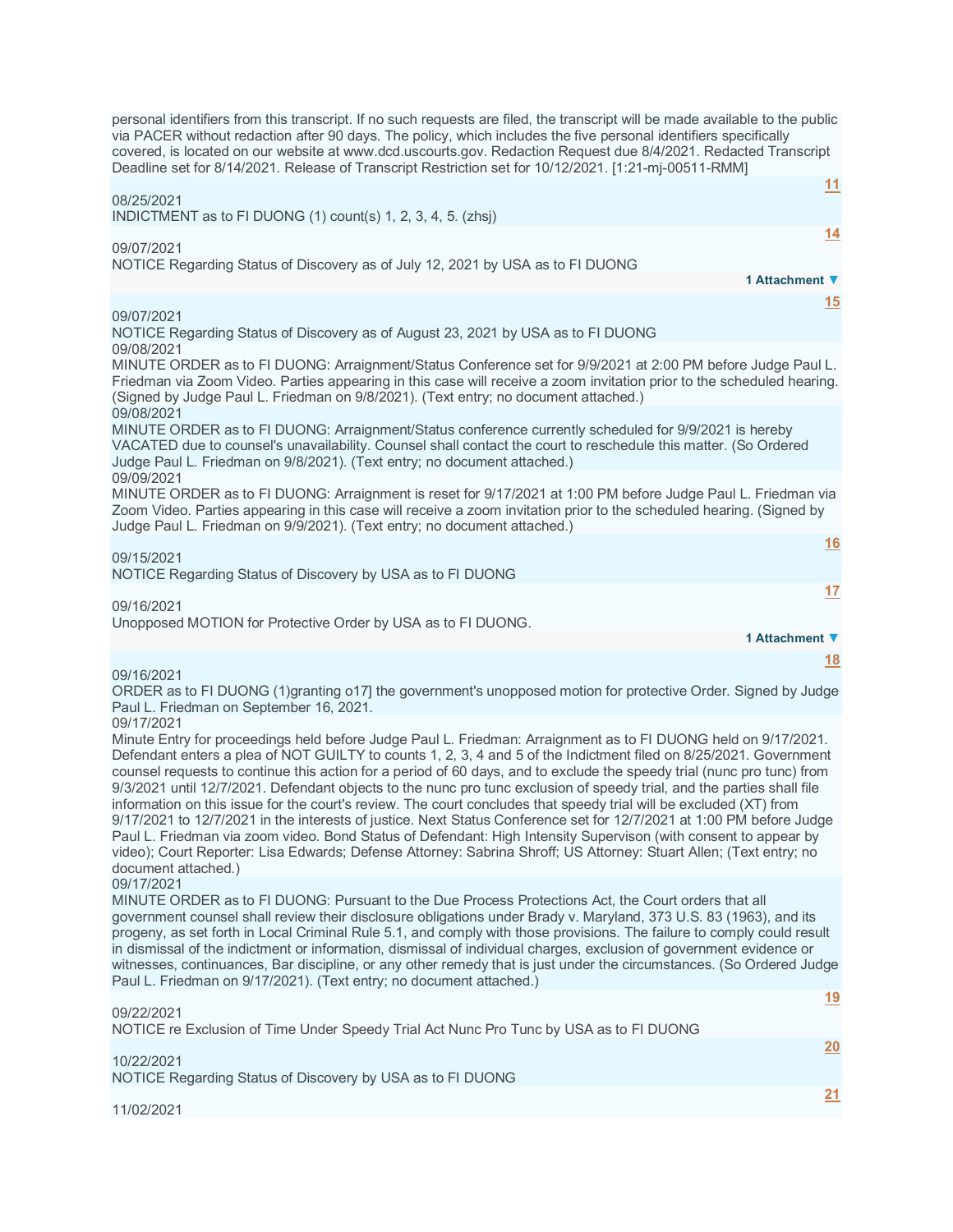personal identifiers from this transcript. If no such requests are filed, the transcript will be made available to the public via PACER without redaction after 90 days. The policy, which includes the five personal identifiers specifically covered, is located on our website at www.dcd.uscourts.gov. Redaction Request due 8/4/2021. Redacted Transcript Deadline set for 8/14/2021. Release of Transcript Restriction set for 10/12/2021. [1:21-mj-00511-RMM] **[11](javascript:void(0))** 08/25/2021 INDICTMENT as to FI DUONG (1) count(s) 1, 2, 3, 4, 5. (zhsj) **[14](javascript:void(0))** 09/07/2021 NOTICE Regarding Status of Discovery as of July 12, 2021 by USA as to FI DUONG **1 Attachment ▼ [15](javascript:void(0))** 09/07/2021 NOTICE Regarding Status of Discovery as of August 23, 2021 by USA as to FI DUONG 09/08/2021 MINUTE ORDER as to FI DUONG: Arraignment/Status Conference set for 9/9/2021 at 2:00 PM before Judge Paul L. Friedman via Zoom Video. Parties appearing in this case will receive a zoom invitation prior to the scheduled hearing. (Signed by Judge Paul L. Friedman on 9/8/2021). (Text entry; no document attached.) 09/08/2021 MINUTE ORDER as to FI DUONG: Arraignment/Status conference currently scheduled for 9/9/2021 is hereby VACATED due to counsel's unavailability. Counsel shall contact the court to reschedule this matter. (So Ordered Judge Paul L. Friedman on 9/8/2021). (Text entry; no document attached.) 09/09/2021 MINUTE ORDER as to FI DUONG: Arraignment is reset for 9/17/2021 at 1:00 PM before Judge Paul L. Friedman via Zoom Video. Parties appearing in this case will receive a zoom invitation prior to the scheduled hearing. (Signed by Judge Paul L. Friedman on 9/9/2021). (Text entry; no document attached.) **[16](javascript:void(0))** 09/15/2021 NOTICE Regarding Status of Discovery by USA as to FI DUONG **[17](javascript:void(0))** 09/16/2021 Unopposed MOTION for Protective Order by USA as to FI DUONG. **1 Attachment ▼ [18](javascript:void(0))** 09/16/2021 ORDER as to FI DUONG (1)granting o17] the government's unopposed motion for protective Order. Signed by Judge Paul L. Friedman on September 16, 2021. 09/17/2021 Minute Entry for proceedings held before Judge Paul L. Friedman: Arraignment as to FI DUONG held on 9/17/2021. Defendant enters a plea of NOT GUILTY to counts 1, 2, 3, 4 and 5 of the Indictment filed on 8/25/2021. Government counsel requests to continue this action for a period of 60 days, and to exclude the speedy trial (nunc pro tunc) from 9/3/2021 until 12/7/2021. Defendant objects to the nunc pro tunc exclusion of speedy trial, and the parties shall file information on this issue for the court's review. The court concludes that speedy trial will be excluded (XT) from 9/17/2021 to 12/7/2021 in the interests of justice. Next Status Conference set for 12/7/2021 at 1:00 PM before Judge Paul L. Friedman via zoom video. Bond Status of Defendant: High Intensity Supervison (with consent to appear by video); Court Reporter: Lisa Edwards; Defense Attorney: Sabrina Shroff; US Attorney: Stuart Allen; (Text entry; no document attached.) 09/17/2021 MINUTE ORDER as to FI DUONG: Pursuant to the Due Process Protections Act, the Court orders that all government counsel shall review their disclosure obligations under Brady v. Maryland, 373 U.S. 83 (1963), and its progeny, as set forth in Local Criminal Rule 5.1, and comply with those provisions. The failure to comply could result in dismissal of the indictment or information, dismissal of individual charges, exclusion of government evidence or witnesses, continuances, Bar discipline, or any other remedy that is just under the circumstances. (So Ordered Judge Paul L. Friedman on 9/17/2021). (Text entry; no document attached.) **[19](javascript:void(0))** 09/22/2021 NOTICE re Exclusion of Time Under Speedy Trial Act Nunc Pro Tunc by USA as to FI DUONG **[20](javascript:void(0))** 10/22/2021 NOTICE Regarding Status of Discovery by USA as to FI DUONG **[21](javascript:void(0))** 11/02/2021